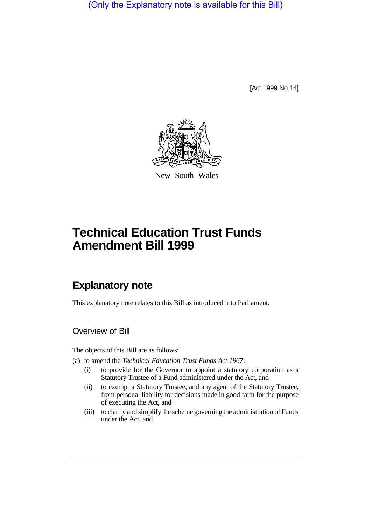(Only the Explanatory note is available for this Bill)

[Act 1999 No 14]



New South Wales

# **Technical Education Trust Funds Amendment Bill 1999**

# **Explanatory note**

This explanatory note relates to this Bill as introduced into Parliament.

### Overview of Bill

The objects of this Bill are as follows:

(a) to amend the *Technical Education Trust Funds Act 1967*:

- (i) to provide for the Governor to appoint a statutory corporation as a Statutory Trustee of a Fund administered under the Act, and
- (ii) to exempt a Statutory Trustee, and any agent of the Statutory Trustee, from personal liability for decisions made in good faith for the purpose of executing the Act, and
- (iii) to clarify and simplify the scheme governing the administration of Funds under the Act, and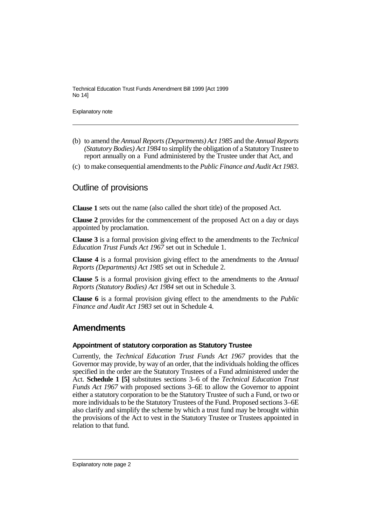Technical Education Trust Funds Amendment Bill 1999 [Act 1999 No 14]

Explanatory note

- (b) to amend the *Annual Reports (Departments) Act 1985* and the *Annual Reports (Statutory Bodies) Act 1984* to simplify the obligation of a Statutory Trustee to report annually on a Fund administered by the Trustee under that Act, and
- (c) to make consequential amendments to the *Public Finance and Audit Act 1983*.

### Outline of provisions

**Clause 1** sets out the name (also called the short title) of the proposed Act.

**Clause 2** provides for the commencement of the proposed Act on a day or days appointed by proclamation.

**Clause 3** is a formal provision giving effect to the amendments to the *Technical Education Trust Funds Act 1967* set out in Schedule 1.

**Clause 4** is a formal provision giving effect to the amendments to the *Annual Reports (Departments) Act 1985* set out in Schedule 2.

**Clause 5** is a formal provision giving effect to the amendments to the *Annual Reports (Statutory Bodies) Act 1984* set out in Schedule 3.

**Clause 6** is a formal provision giving effect to the amendments to the *Public Finance and Audit Act 1983* set out in Schedule 4.

## **Amendments**

### **Appointment of statutory corporation as Statutory Trustee**

Currently, the *Technical Education Trust Funds Act 1967* provides that the Governor may provide, by way of an order, that the individuals holding the offices specified in the order are the Statutory Trustees of a Fund administered under the Act. **Schedule 1 [5]** substitutes sections 3–6 of the *Technical Education Trust Funds Act 1967* with proposed sections 3–6E to allow the Governor to appoint either a statutory corporation to be the Statutory Trustee of such a Fund, or two or more individuals to be the Statutory Trustees of the Fund. Proposed sections 3–6E also clarify and simplify the scheme by which a trust fund may be brought within the provisions of the Act to vest in the Statutory Trustee or Trustees appointed in relation to that fund.